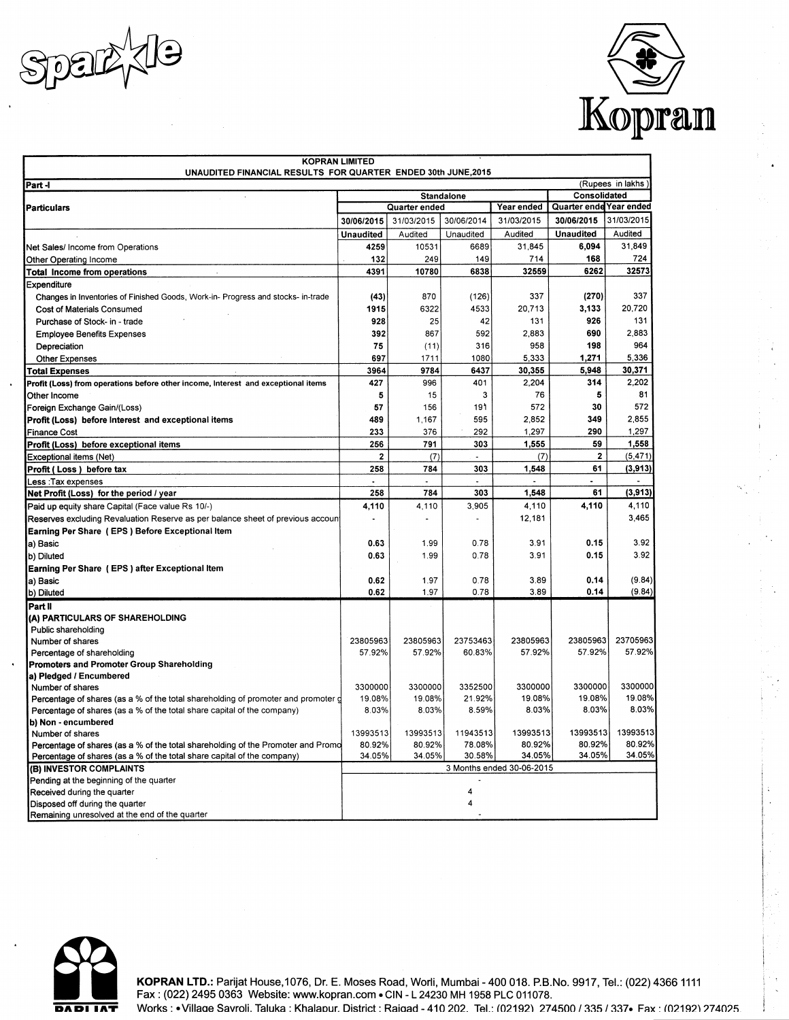



| <b>KOPRAN LIMITED</b><br>UNAUDITED FINANCIAL RESULTS FOR QUARTER ENDED 30th JUNE,2015 |                   |                           |            |                 |                         |            |  |
|---------------------------------------------------------------------------------------|-------------------|---------------------------|------------|-----------------|-------------------------|------------|--|
| (Rupees in lakhs)<br>Part -l                                                          |                   |                           |            |                 |                         |            |  |
| $\lambda$                                                                             | <b>Standalone</b> |                           |            |                 | Consolidated            |            |  |
| <b>Particulars</b>                                                                    |                   | Quarter ended             |            | Year ended      | Quarter ende Year ended |            |  |
|                                                                                       | 30/06/2015        | 31/03/2015                | 30/06/2014 | 31/03/2015      | 30/06/2015              | 31/03/2015 |  |
|                                                                                       | <b>Unaudited</b>  | Audited                   | Unaudited  | Audited         | <b>Unaudited</b>        | Audited    |  |
| Net Sales/ Income from Operations                                                     | 4259              | 10531                     | 6689       | 31,845          | 6,094                   | 31,849     |  |
| Other Operating Income                                                                | 132               | 249                       | 149        | 714             | 168                     | 724        |  |
| <b>Total Income from operations</b>                                                   | 4391              | 10780                     | 6838       | 32559           | 6262                    | 32573      |  |
| Expenditure                                                                           |                   |                           |            |                 |                         |            |  |
| Changes in Inventories of Finished Goods, Work-in- Progress and stocks- in-trade      | (43)              | 870                       | (126)      | 337             | (270)                   | 337        |  |
| Cost of Materials Consumed                                                            | 1915              | 6322                      | 4533       | 20,713          | 3,133                   | 20,720     |  |
| Purchase of Stock- in - trade                                                         | 928               | 25                        | 42         | 131             | 926                     | 131        |  |
|                                                                                       | 392               | 867                       | 592        | 2,883           | 690                     | 2,883      |  |
| <b>Employee Benefits Expenses</b>                                                     | 75                |                           | 316        | 958             | 198                     | 964        |  |
| Depreciation                                                                          | 697               | (11)                      | 1080       | 5,333           | 1,271                   | 5,336      |  |
| Other Expenses                                                                        |                   | 1711                      |            |                 |                         | 30,371     |  |
| Total Expenses                                                                        | 3964<br>427       | 9784                      | 6437       | 30,355<br>2,204 | 5,948<br>314            | 2,202      |  |
| Profit (Loss) from operations before other income, Interest and exceptional items     |                   | 996                       | 401        |                 | 5                       |            |  |
| Other Income                                                                          | 5                 | 15                        | 3          | 76              | 30                      | 81<br>572  |  |
| Foreign Exchange Gain/(Loss)                                                          | 57                | 156                       | 191        | 572             | 349                     | 2,855      |  |
| Profit (Loss) before Interest and exceptional items                                   | 489               | 1,167                     | 595        | 2.852           |                         |            |  |
| Finance Cost                                                                          | 233               | 376                       | 292        | 1,297           | 290                     | 1,297      |  |
| Profit (Loss) before exceptional items                                                | 256               | 791                       | 303        | 1,555           | 59                      | 1,558      |  |
| Exceptional items (Net)                                                               | $\mathbf{2}$      | (7)                       | ٠          | (7)             | 2                       | (5, 471)   |  |
| Profit (Loss) before tax                                                              | 258               | 784                       | 303        | 1,548           | 61<br>$\overline{a}$    | (3, 913)   |  |
| Less :Tax expenses                                                                    | 258               | 784                       | 303        | 1.548           | 61                      | (3, 913)   |  |
| Net Profit (Loss) for the period / year                                               |                   |                           |            |                 |                         |            |  |
| Paid up equity share Capital (Face value Rs 10/-)                                     | 4,110             | 4,110                     | 3.905      | 4.110           | 4,110                   | 4,110      |  |
| Reserves excluding Revaluation Reserve as per balance sheet of previous account       |                   |                           |            | 12,181          |                         | 3,465      |  |
| Earning Per Share (EPS) Before Exceptional Item                                       |                   |                           |            |                 |                         |            |  |
| a) Basic                                                                              | 0.63              | 1.99                      | 0.78       | 3.91            | 0.15                    | 3.92       |  |
| b) Diluted                                                                            | 0.63              | 1.99                      | 0.78       | 3.91            | 0.15                    | 3.92       |  |
| Earning Per Share (EPS) after Exceptional Item                                        |                   |                           |            |                 |                         |            |  |
| a) Basic                                                                              | 0.62              | 1.97                      | 0.78       | 3.89            | 0.14                    | (9.84)     |  |
| b) Diluted                                                                            | 0.62              | 1.97                      | 0.78       | 3.89            | 0.14                    | (9.84)     |  |
| Part II                                                                               |                   |                           |            |                 |                         |            |  |
| (A) PARTICULARS OF SHAREHOLDING                                                       |                   |                           |            |                 |                         |            |  |
| Public shareholding                                                                   |                   |                           |            |                 |                         |            |  |
| Number of shares                                                                      | 23805963          | 23805963                  | 23753463   | 23805963        | 23805963                | 23705963   |  |
| Percentage of shareholding                                                            | 57.92%            | 57.92%                    | 60.83%     | 57.92%          | 57.92%                  | 57.92%     |  |
| <b>Promoters and Promoter Group Shareholding</b>                                      |                   |                           |            |                 |                         |            |  |
| a) Pledged / Encumbered<br>Number of shares                                           | 3300000           | 3300000                   | 3352500    | 3300000         | 3300000                 | 3300000    |  |
| Percentage of shares (as a % of the total shareholding of promoter and promoter g     | 19.08%            | 19.08%                    | 21.92%     | 19.08%          | 19.08%                  | 19.08%     |  |
| Percentage of shares (as a % of the total share capital of the company)               | 8.03%             | 8.03%                     | 8.59%      | 8.03%           | 8.03%                   | 8.03%      |  |
| b) Non - encumbered                                                                   |                   |                           |            |                 |                         |            |  |
| Number of shares                                                                      | 13993513          | 13993513                  | 11943513   | 13993513        | 13993513                | 13993513   |  |
| Percentage of shares (as a % of the total shareholding of the Promoter and Promo      | 80.92%            | 80.92%                    | 78.08%     | 80.92%          | 80.92%                  | 80.92%     |  |
| Percentage of shares (as a % of the total share capital of the company)               | 34.05%            | 34.05%                    | 30.58%     | 34.05%          | 34.05%                  | 34.05%     |  |
| (B) INVESTOR COMPLAINTS                                                               |                   | 3 Months ended 30-06-2015 |            |                 |                         |            |  |
| Pending at the beginning of the quarter                                               |                   |                           |            |                 |                         |            |  |
| Received during the quarter                                                           |                   |                           | 4          |                 |                         |            |  |
| Disposed off during the quarter                                                       |                   |                           | 4          |                 |                         |            |  |
| Remaining unresolved at the end of the quarter                                        |                   |                           |            |                 |                         |            |  |



KOPRAN LTD.: Parijat House, 1076, Dr. E. Moses Road, Worli, Mumbai - 400 018. P.B.No. 9917, Tel.: (022) 4366 1111<br>Fax: (022) 2495 0363 Website: www.kopran.com • CIN - L 24230 MH 1958 PLC 011078. Works: . Village Savroli. Taluka: Khalapur. District: Raigad - 410 202. Tel.: (02192) 274500 / 335 / 337 . Fax: (02192) 274025.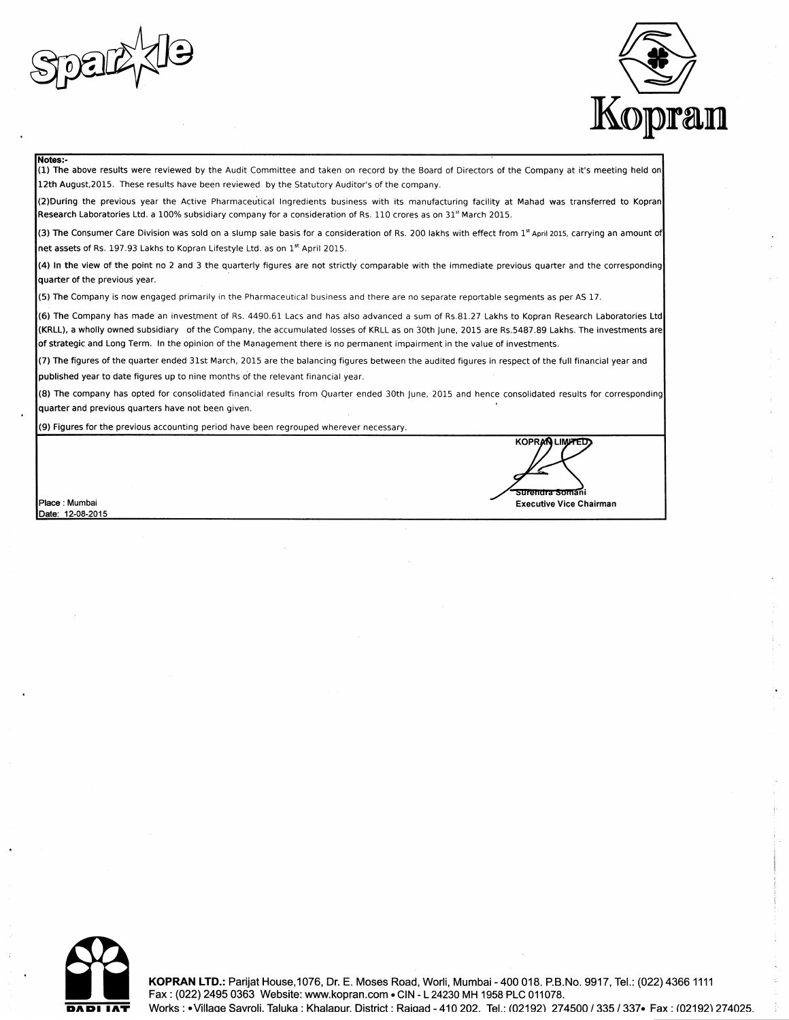



#### Notes:-

(1) The above results were reviewed by the Audit Committee and taken on record by the Board of Directors of the Company at it's meeting held on 12th August, 2015. These results have been reviewed by the Statutory Auditor's of the company.

(2) During the previous year the Active Pharmaceutical Ingredients business with its manufacturing facility at Mahad was transferred to Kopran Research Laboratories Ltd. a 100% subsidiary company for a consideration of Rs. 110 crores as on 31<sup>st</sup> March 2015.

(3) The Consumer Care Division was sold on a slump sale basis for a consideration of Rs. 200 lakhs with effect from 1<sup>st</sup> April 2015, carrying an amount of net assets of Rs. 197.93 Lakhs to Kopran Lifestyle Ltd. as on 1st April 2015.

(4) In the view of the point no 2 and 3 the quarterly figures are not strictly comparable with the immediate previous quarter and the corresponding quarter of the previous year.

(5) The Company is now engaged primarily in the Pharmaceutical business and there are no separate reportable segments as per AS 17.

(6) The Company has made an investment of Rs. 4490.61 Lacs and has also advanced a sum of Rs.81.27 Lakhs to Kopran Research Laboratories Ltd (KRLL), a wholly owned subsidiary of the Company, the accumulated losses of KRLL as on 30th June, 2015 are Rs.5487.89 Lakhs. The investments are of strategic and Long Term. In the opinion of the Management there is no permanent impairment in the value of investments.

(7) The figures of the quarter ended 31st March, 2015 are the balancing figures between the audited figures in respect of the full financial year and published year to date figures up to nine months of the relevant financial year.

(8) The company has opted for consolidated financial results from Quarter ended 30th June, 2015 and hence consolidated results for corresponding quarter and previous quarters have not been given.

(9) Figures for the previous accounting period have been regrouped wherever necessary.

Place : Mumbai Date: 12-08-2015

**KOPRAN LIMPTED** surandra Somani **Executive Vice Chairman** 

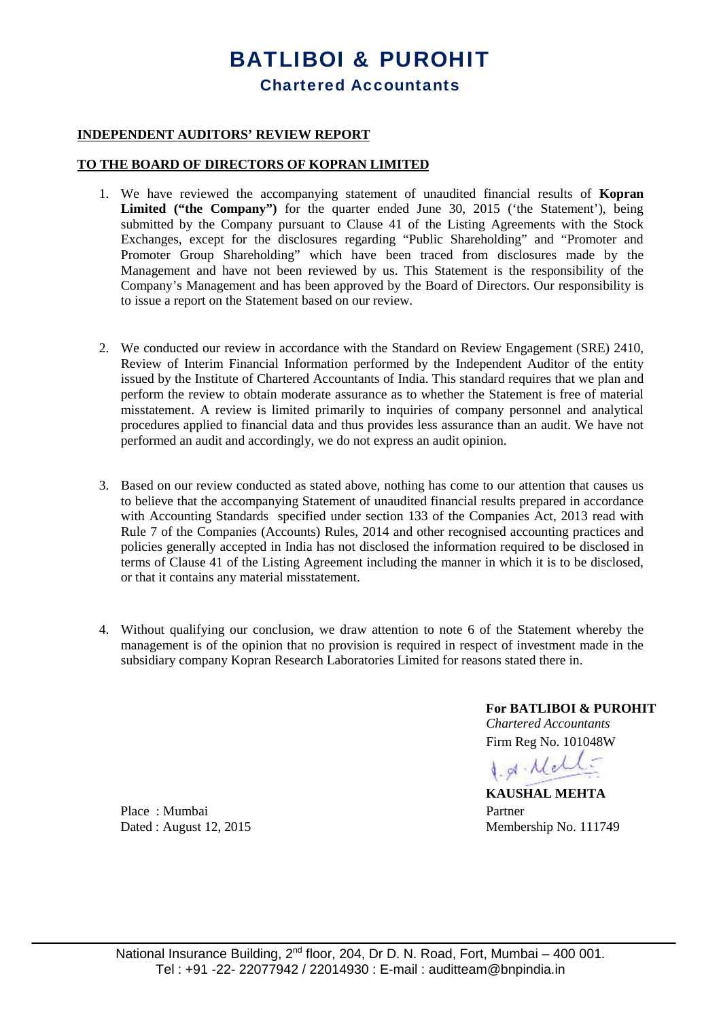# **BATLIBOI & PUROHIT Chartered Accountants**

# **INDEPENDENT AUDITORS' REVIEW REPORT**

### **TO THE BOARD OF DIRECTORS OF KOPRAN LIMITED**

- 1. We have reviewed the accompanying statement of unaudited financial results of **Kopran Limited ("the Company")** for the quarter ended June 30, 2015 ('the Statement'), being submitted by the Company pursuant to Clause 41 of the Listing Agreements with the Stock Exchanges, except for the disclosures regarding "Public Shareholding" and "Promoter and Promoter Group Shareholding" which have been traced from disclosures made by the Management and have not been reviewed by us. This Statement is the responsibility of the Company's Management and has been approved by the Board of Directors. Our responsibility is to issue a report on the Statement based on our review.
- 2. We conducted our review in accordance with the Standard on Review Engagement (SRE) 2410, Review of Interim Financial Information performed by the Independent Auditor of the entity issued by the Institute of Chartered Accountants of India. This standard requires that we plan and perform the review to obtain moderate assurance as to whether the Statement is free of material misstatement. A review is limited primarily to inquiries of company personnel and analytical procedures applied to financial data and thus provides less assurance than an audit. We have not performed an audit and accordingly, we do not express an audit opinion.
- 3. Based on our review conducted as stated above, nothing has come to our attention that causes us to believe that the accompanying Statement of unaudited financial results prepared in accordance with Accounting Standards specified under section 133 of the Companies Act, 2013 read with Rule 7 of the Companies (Accounts) Rules, 2014 and other recognised accounting practices and policies generally accepted in India has not disclosed the information required to be disclosed in terms of Clause 41 of the Listing Agreement including the manner in which it is to be disclosed, or that it contains any material misstatement.
- 4. Without qualifying our conclusion, we draw attention to note 6 of the Statement whereby the management is of the opinion that no provision is required in respect of investment made in the subsidiary company Kopran Research Laboratories Limited for reasons stated there in.

**For BATLIBOI & PUROHIT** *Chartered Accountants* Firm Reg No. 101048W

1. g Melli

**KAUSHAL MEHTA** Dated : August 12, 2015 Membership No. 111749

Place : Mumbai Partner